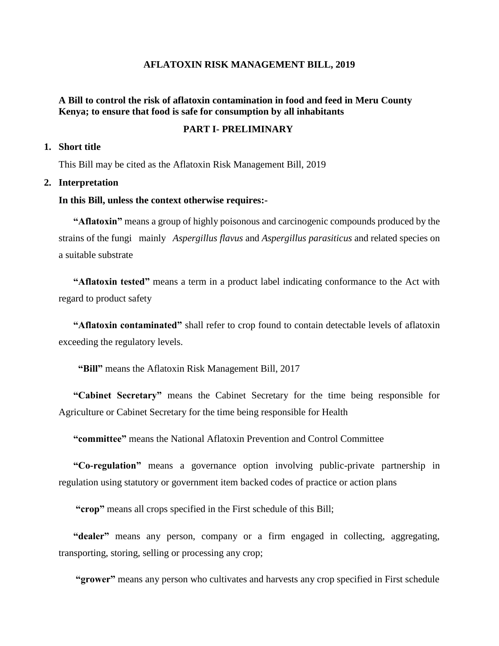### **AFLATOXIN RISK MANAGEMENT BILL, 2019**

### **A Bill to control the risk of aflatoxin contamination in food and feed in Meru County Kenya; to ensure that food is safe for consumption by all inhabitants**

#### **PART I- PRELIMINARY**

### **1. Short title**

This Bill may be cited as the Aflatoxin Risk Management Bill, 2019

#### **2. Interpretation**

#### **In this Bill, unless the context otherwise requires:-**

**"Aflatoxin"** means a group of highly poisonous and carcinogenic compounds produced by the strains of the fungi mainly *Aspergillus flavus* and *Aspergillus parasiticus* and related species on a suitable substrate

**"Aflatoxin tested"** means a term in a product label indicating conformance to the Act with regard to product safety

**"Aflatoxin contaminated"** shall refer to crop found to contain detectable levels of aflatoxin exceeding the regulatory levels.

 **"Bill"** means the Aflatoxin Risk Management Bill, 2017

**"Cabinet Secretary"** means the Cabinet Secretary for the time being responsible for Agriculture or Cabinet Secretary for the time being responsible for Health

**"committee"** means the National Aflatoxin Prevention and Control Committee

**"Co-regulation"** means a governance option involving public-private partnership in regulation using statutory or government item backed codes of practice or action plans

**"crop"** means all crops specified in the First schedule of this Bill;

**"dealer"** means any person, company or a firm engaged in collecting, aggregating, transporting, storing, selling or processing any crop;

**"grower"** means any person who cultivates and harvests any crop specified in First schedule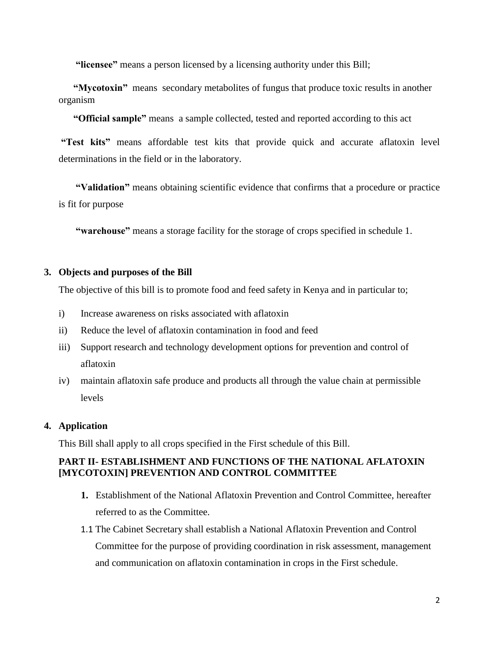**"licensee"** means a person licensed by a licensing authority under this Bill;

**"Mycotoxin"** means secondary metabolites of fungus that produce toxic results in another organism

**"Official sample"** means a sample collected, tested and reported according to this act

**"Test kits"** means affordable test kits that provide quick and accurate aflatoxin level determinations in the field or in the laboratory.

**"Validation"** means obtaining scientific evidence that confirms that a procedure or practice is fit for purpose

**"warehouse"** means a storage facility for the storage of crops specified in schedule 1.

## **3. Objects and purposes of the Bill**

The objective of this bill is to promote food and feed safety in Kenya and in particular to;

- i) Increase awareness on risks associated with aflatoxin
- ii) Reduce the level of aflatoxin contamination in food and feed
- iii) Support research and technology development options for prevention and control of aflatoxin
- iv) maintain aflatoxin safe produce and products all through the value chain at permissible levels

# **4. Application**

This Bill shall apply to all crops specified in the First schedule of this Bill.

# **PART II- ESTABLISHMENT AND FUNCTIONS OF THE NATIONAL AFLATOXIN [MYCOTOXIN] PREVENTION AND CONTROL COMMITTEE**

- **1.** Establishment of the National Aflatoxin Prevention and Control Committee, hereafter referred to as the Committee.
- 1.1 The Cabinet Secretary shall establish a National Aflatoxin Prevention and Control Committee for the purpose of providing coordination in risk assessment, management and communication on aflatoxin contamination in crops in the First schedule.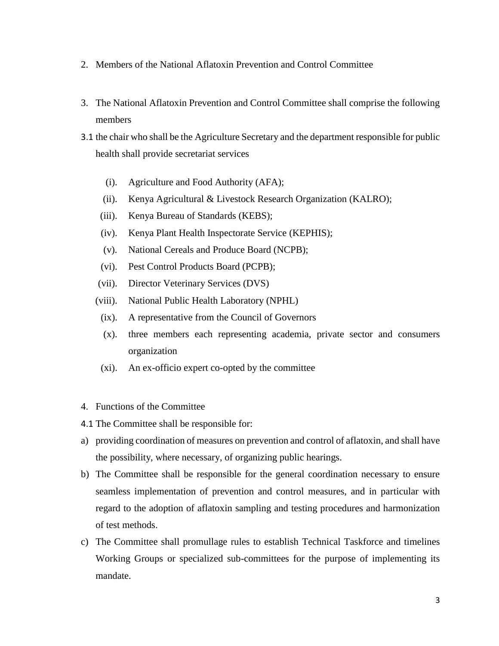- 2. Members of the National Aflatoxin Prevention and Control Committee
- 3. The National Aflatoxin Prevention and Control Committee shall comprise the following members
- 3.1 the chair who shall be the Agriculture Secretary and the department responsible for public health shall provide secretariat services
	- (i). Agriculture and Food Authority (AFA);
	- (ii). Kenya Agricultural & Livestock Research Organization (KALRO);
	- (iii). Kenya Bureau of Standards (KEBS);
	- (iv). Kenya Plant Health Inspectorate Service (KEPHIS);
	- (v). National Cereals and Produce Board (NCPB);
	- (vi). Pest Control Products Board (PCPB);
	- (vii). Director Veterinary Services (DVS)
	- (viii). National Public Health Laboratory (NPHL)
	- (ix). A representative from the Council of Governors
	- (x). three members each representing academia, private sector and consumers organization
	- (xi). An ex-officio expert co-opted by the committee
- 4. Functions of the Committee
- 4.1 The Committee shall be responsible for:
- a) providing coordination of measures on prevention and control of aflatoxin, and shall have the possibility, where necessary, of organizing public hearings.
- b) The Committee shall be responsible for the general coordination necessary to ensure seamless implementation of prevention and control measures, and in particular with regard to the adoption of aflatoxin sampling and testing procedures and harmonization of test methods.
- c) The Committee shall promullage rules to establish Technical Taskforce and timelines Working Groups or specialized sub-committees for the purpose of implementing its mandate.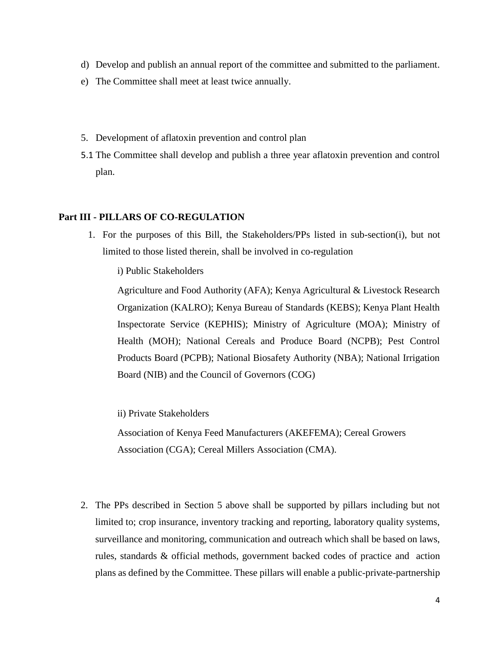- d) Develop and publish an annual report of the committee and submitted to the parliament.
- e) The Committee shall meet at least twice annually.
- 5. Development of aflatoxin prevention and control plan
- 5.1 The Committee shall develop and publish a three year aflatoxin prevention and control plan.

### **Part III - PILLARS OF CO-REGULATION**

1. For the purposes of this Bill, the Stakeholders/PPs listed in sub-section(i), but not limited to those listed therein, shall be involved in co-regulation

i) Public Stakeholders

Agriculture and Food Authority (AFA); Kenya Agricultural & Livestock Research Organization (KALRO); Kenya Bureau of Standards (KEBS); Kenya Plant Health Inspectorate Service (KEPHIS); Ministry of Agriculture (MOA); Ministry of Health (MOH); National Cereals and Produce Board (NCPB); Pest Control Products Board (PCPB); National Biosafety Authority (NBA); National Irrigation Board (NIB) and the Council of Governors (COG)

ii) Private Stakeholders

Association of Kenya Feed Manufacturers (AKEFEMA); Cereal Growers Association (CGA); Cereal Millers Association (CMA).

2. The PPs described in Section 5 above shall be supported by pillars including but not limited to; crop insurance, inventory tracking and reporting, laboratory quality systems, surveillance and monitoring, communication and outreach which shall be based on laws, rules, standards & official methods, government backed codes of practice and action plans as defined by the Committee. These pillars will enable a public-private-partnership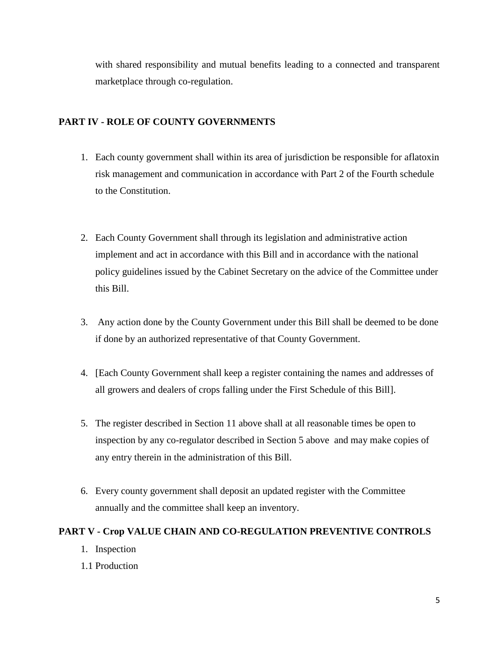with shared responsibility and mutual benefits leading to a connected and transparent marketplace through co-regulation.

# **PART IV - ROLE OF COUNTY GOVERNMENTS**

- 1. Each county government shall within its area of jurisdiction be responsible for aflatoxin risk management and communication in accordance with Part 2 of the Fourth schedule to the Constitution.
- 2. Each County Government shall through its legislation and administrative action implement and act in accordance with this Bill and in accordance with the national policy guidelines issued by the Cabinet Secretary on the advice of the Committee under this Bill.
- 3. Any action done by the County Government under this Bill shall be deemed to be done if done by an authorized representative of that County Government.
- 4. [Each County Government shall keep a register containing the names and addresses of all growers and dealers of crops falling under the First Schedule of this Bill].
- 5. The register described in Section 11 above shall at all reasonable times be open to inspection by any co-regulator described in Section 5 above and may make copies of any entry therein in the administration of this Bill.
- 6. Every county government shall deposit an updated register with the Committee annually and the committee shall keep an inventory.

# **PART V - Crop VALUE CHAIN AND CO-REGULATION PREVENTIVE CONTROLS**

- 1. Inspection
- 1.1 Production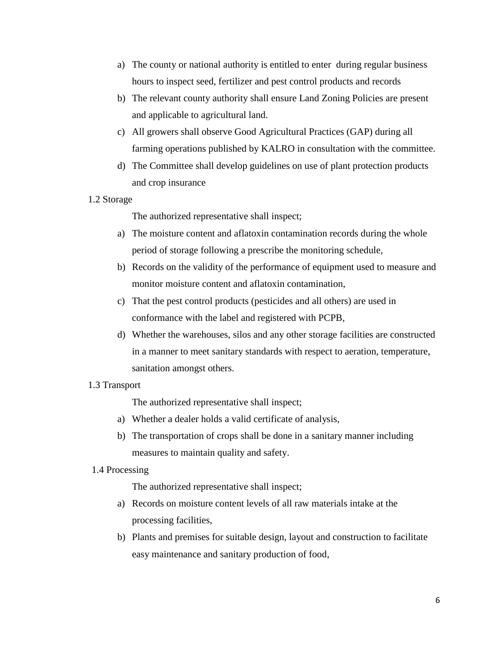- a) The county or national authority is entitled to enter during regular business hours to inspect seed, fertilizer and pest control products and records
- b) The relevant county authority shall ensure Land Zoning Policies are present and applicable to agricultural land.
- c) All growers shall observe Good Agricultural Practices (GAP) during all farming operations published by KALRO in consultation with the committee.
- d) The Committee shall develop guidelines on use of plant protection products and crop insurance
- 1.2 Storage

The authorized representative shall inspect;

- a) The moisture content and aflatoxin contamination records during the whole period of storage following a prescribe the monitoring schedule,
- b) Records on the validity of the performance of equipment used to measure and monitor moisture content and aflatoxin contamination,
- c) That the pest control products (pesticides and all others) are used in conformance with the label and registered with PCPB,
- d) Whether the warehouses, silos and any other storage facilities are constructed in a manner to meet sanitary standards with respect to aeration, temperature, sanitation amongst others.
- 1.3 Transport

The authorized representative shall inspect;

- a) Whether a dealer holds a valid certificate of analysis,
- b) The transportation of crops shall be done in a sanitary manner including measures to maintain quality and safety.
- 1.4 Processing

The authorized representative shall inspect;

- a) Records on moisture content levels of all raw materials intake at the processing facilities,
- b) Plants and premises for suitable design, layout and construction to facilitate easy maintenance and sanitary production of food,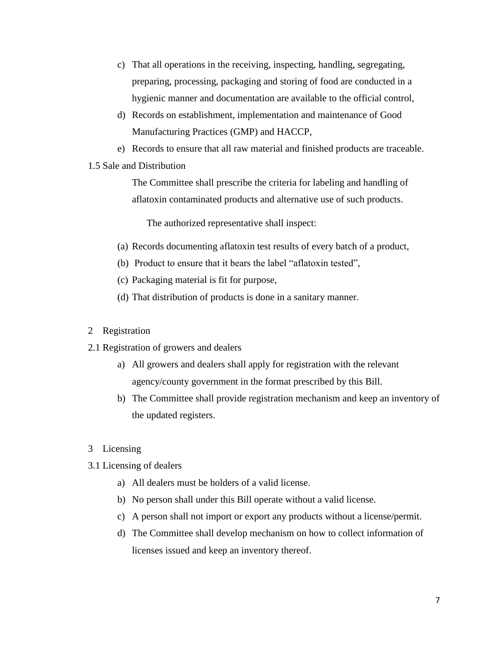- c) That all operations in the receiving, inspecting, handling, segregating, preparing, processing, packaging and storing of food are conducted in a hygienic manner and documentation are available to the official control,
- d) Records on establishment, implementation and maintenance of Good Manufacturing Practices (GMP) and HACCP,
- e) Records to ensure that all raw material and finished products are traceable.

### 1.5 Sale and Distribution

The Committee shall prescribe the criteria for labeling and handling of aflatoxin contaminated products and alternative use of such products.

The authorized representative shall inspect:

- (a) Records documenting aflatoxin test results of every batch of a product,
- (b) Product to ensure that it bears the label "aflatoxin tested",
- (c) Packaging material is fit for purpose,
- (d) That distribution of products is done in a sanitary manner.

### 2 Registration

- 2.1 Registration of growers and dealers
	- a) All growers and dealers shall apply for registration with the relevant agency/county government in the format prescribed by this Bill.
	- b) The Committee shall provide registration mechanism and keep an inventory of the updated registers.
- 3 Licensing
- 3.1 Licensing of dealers
	- a) All dealers must be holders of a valid license.
	- b) No person shall under this Bill operate without a valid license.
	- c) A person shall not import or export any products without a license/permit.
	- d) The Committee shall develop mechanism on how to collect information of licenses issued and keep an inventory thereof.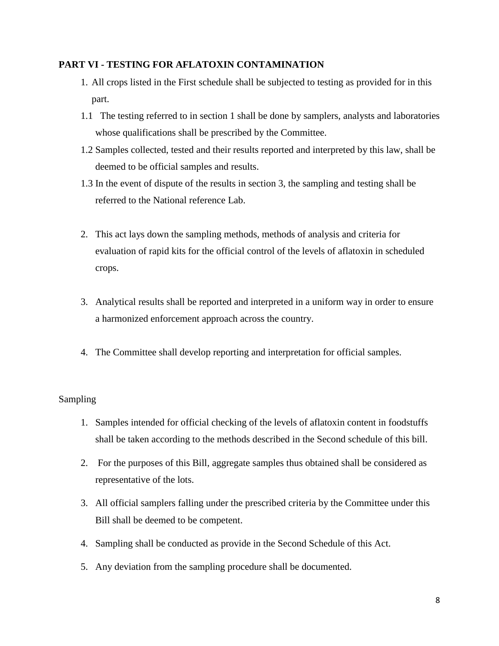## **PART VI - TESTING FOR AFLATOXIN CONTAMINATION**

- 1. All crops listed in the First schedule shall be subjected to testing as provided for in this part.
- 1.1 The testing referred to in section 1 shall be done by samplers, analysts and laboratories whose qualifications shall be prescribed by the Committee.
- 1.2 Samples collected, tested and their results reported and interpreted by this law, shall be deemed to be official samples and results.
- 1.3 In the event of dispute of the results in section 3, the sampling and testing shall be referred to the National reference Lab.
- 2. This act lays down the sampling methods, methods of analysis and criteria for evaluation of rapid kits for the official control of the levels of aflatoxin in scheduled crops.
- 3. Analytical results shall be reported and interpreted in a uniform way in order to ensure a harmonized enforcement approach across the country.
- 4. The Committee shall develop reporting and interpretation for official samples.

# Sampling

- 1. Samples intended for official checking of the levels of aflatoxin content in foodstuffs shall be taken according to the methods described in the Second schedule of this bill.
- 2. For the purposes of this Bill, aggregate samples thus obtained shall be considered as representative of the lots.
- 3. All official samplers falling under the prescribed criteria by the Committee under this Bill shall be deemed to be competent.
- 4. Sampling shall be conducted as provide in the Second Schedule of this Act.
- 5. Any deviation from the sampling procedure shall be documented.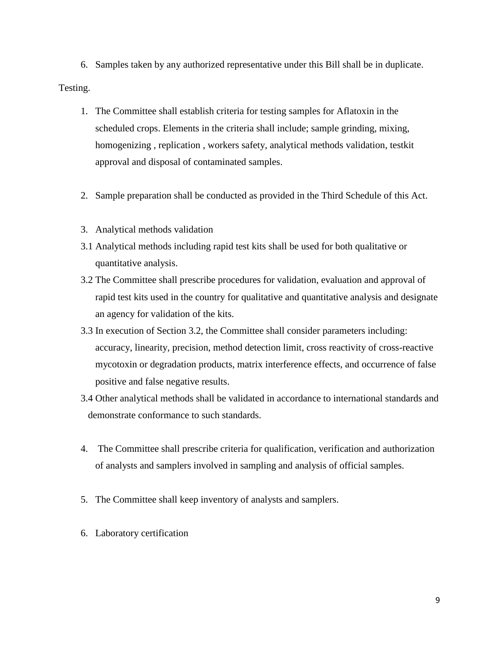6. Samples taken by any authorized representative under this Bill shall be in duplicate. Testing.

- 1. The Committee shall establish criteria for testing samples for Aflatoxin in the scheduled crops. Elements in the criteria shall include; sample grinding, mixing, homogenizing , replication , workers safety, analytical methods validation, testkit approval and disposal of contaminated samples.
- 2. Sample preparation shall be conducted as provided in the Third Schedule of this Act.
- 3. Analytical methods validation
- 3.1 Analytical methods including rapid test kits shall be used for both qualitative or quantitative analysis.
- 3.2 The Committee shall prescribe procedures for validation, evaluation and approval of rapid test kits used in the country for qualitative and quantitative analysis and designate an agency for validation of the kits.
- 3.3 In execution of Section 3.2, the Committee shall consider parameters including: accuracy, linearity, precision, method detection limit, cross reactivity of cross-reactive mycotoxin or degradation products, matrix interference effects, and occurrence of false positive and false negative results.
- 3.4 Other analytical methods shall be validated in accordance to international standards and demonstrate conformance to such standards.
- 4. The Committee shall prescribe criteria for qualification, verification and authorization of analysts and samplers involved in sampling and analysis of official samples.
- 5. The Committee shall keep inventory of analysts and samplers.
- 6. Laboratory certification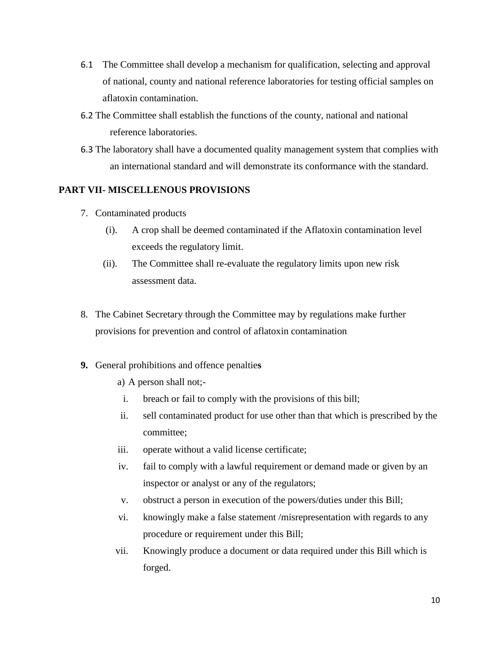- 6.1 The Committee shall develop a mechanism for qualification, selecting and approval of national, county and national reference laboratories for testing official samples on aflatoxin contamination.
- 6.2 The Committee shall establish the functions of the county, national and national reference laboratories.
- 6.3 The laboratory shall have a documented quality management system that complies with an international standard and will demonstrate its conformance with the standard.

# **PART VII- MISCELLENOUS PROVISIONS**

- 7. Contaminated products
	- (i). A crop shall be deemed contaminated if the Aflatoxin contamination level exceeds the regulatory limit.
	- (ii). The Committee shall re-evaluate the regulatory limits upon new risk assessment data.
- 8. The Cabinet Secretary through the Committee may by regulations make further provisions for prevention and control of aflatoxin contamination
- **9.** General prohibitions and offence penaltie**s**
	- a) A person shall not;-
	- i. breach or fail to comply with the provisions of this bill;
	- ii. sell contaminated product for use other than that which is prescribed by the committee;
	- iii. operate without a valid license certificate;
	- iv. fail to comply with a lawful requirement or demand made or given by an inspector or analyst or any of the regulators;
	- v. obstruct a person in execution of the powers/duties under this Bill;
	- vi. knowingly make a false statement /misrepresentation with regards to any procedure or requirement under this Bill;
	- vii. Knowingly produce a document or data required under this Bill which is forged.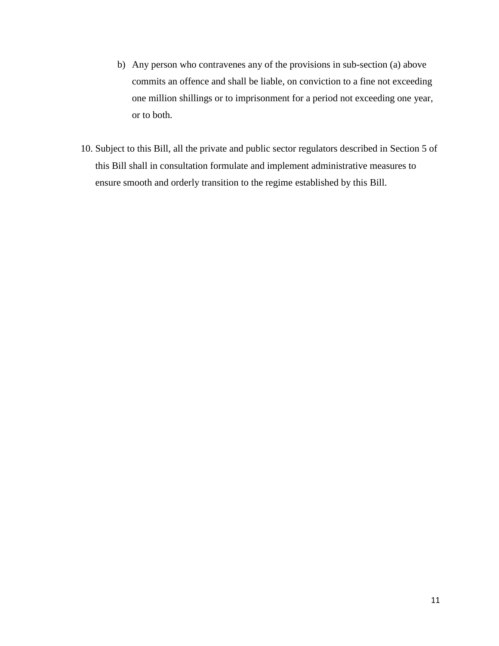- b) Any person who contravenes any of the provisions in sub-section (a) above commits an offence and shall be liable, on conviction to a fine not exceeding one million shillings or to imprisonment for a period not exceeding one year, or to both.
- 10. Subject to this Bill, all the private and public sector regulators described in Section 5 of this Bill shall in consultation formulate and implement administrative measures to ensure smooth and orderly transition to the regime established by this Bill.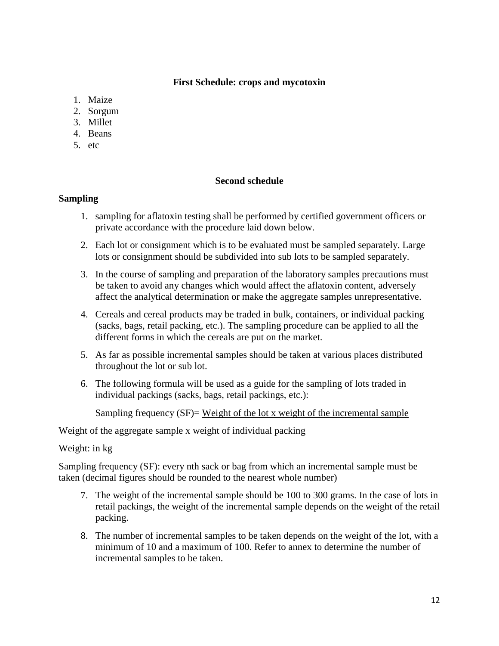## **First Schedule: crops and mycotoxin**

- 1. Maize
- 2. Sorgum
- 3. Millet
- 4. Beans
- 5. etc

### **Second schedule**

### **Sampling**

- 1. sampling for aflatoxin testing shall be performed by certified government officers or private accordance with the procedure laid down below.
- 2. Each lot or consignment which is to be evaluated must be sampled separately. Large lots or consignment should be subdivided into sub lots to be sampled separately.
- 3. In the course of sampling and preparation of the laboratory samples precautions must be taken to avoid any changes which would affect the aflatoxin content, adversely affect the analytical determination or make the aggregate samples unrepresentative.
- 4. Cereals and cereal products may be traded in bulk, containers, or individual packing (sacks, bags, retail packing, etc.). The sampling procedure can be applied to all the different forms in which the cereals are put on the market.
- 5. As far as possible incremental samples should be taken at various places distributed throughout the lot or sub lot.
- 6. The following formula will be used as a guide for the sampling of lots traded in individual packings (sacks, bags, retail packings, etc.):

Sampling frequency  $(SF)$ = Weight of the lot x weight of the incremental sample

Weight of the aggregate sample x weight of individual packing

### Weight: in kg

Sampling frequency (SF): every nth sack or bag from which an incremental sample must be taken (decimal figures should be rounded to the nearest whole number)

- 7. The weight of the incremental sample should be 100 to 300 grams. In the case of lots in retail packings, the weight of the incremental sample depends on the weight of the retail packing.
- 8. The number of incremental samples to be taken depends on the weight of the lot, with a minimum of 10 and a maximum of 100. Refer to annex to determine the number of incremental samples to be taken.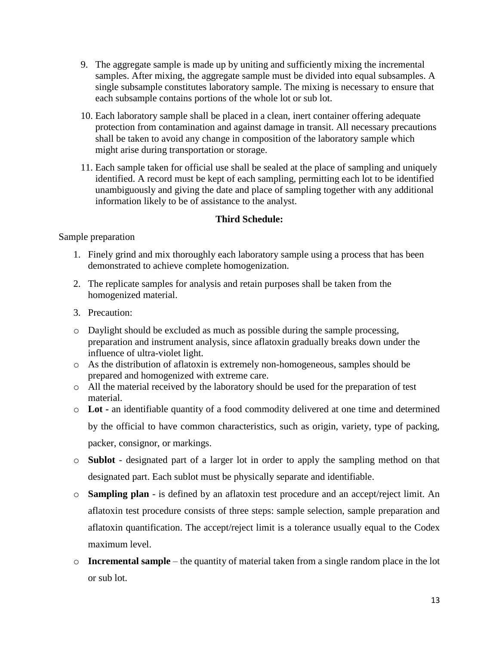- 9. The aggregate sample is made up by uniting and sufficiently mixing the incremental samples. After mixing, the aggregate sample must be divided into equal subsamples. A single subsample constitutes laboratory sample. The mixing is necessary to ensure that each subsample contains portions of the whole lot or sub lot.
- 10. Each laboratory sample shall be placed in a clean, inert container offering adequate protection from contamination and against damage in transit. All necessary precautions shall be taken to avoid any change in composition of the laboratory sample which might arise during transportation or storage.
- 11. Each sample taken for official use shall be sealed at the place of sampling and uniquely identified. A record must be kept of each sampling, permitting each lot to be identified unambiguously and giving the date and place of sampling together with any additional information likely to be of assistance to the analyst.

# **Third Schedule:**

## Sample preparation

- 1. Finely grind and mix thoroughly each laboratory sample using a process that has been demonstrated to achieve complete homogenization.
- 2. The replicate samples for analysis and retain purposes shall be taken from the homogenized material.
- 3. Precaution:
- o Daylight should be excluded as much as possible during the sample processing, preparation and instrument analysis, since aflatoxin gradually breaks down under the influence of ultra-violet light.
- o As the distribution of aflatoxin is extremely non-homogeneous, samples should be prepared and homogenized with extreme care.
- o All the material received by the laboratory should be used for the preparation of test material.
- o **Lot -** an identifiable quantity of a food commodity delivered at one time and determined by the official to have common characteristics, such as origin, variety, type of packing, packer, consignor, or markings.
- o **Sublot** designated part of a larger lot in order to apply the sampling method on that designated part. Each sublot must be physically separate and identifiable.
- o **Sampling plan** is defined by an aflatoxin test procedure and an accept/reject limit. An aflatoxin test procedure consists of three steps: sample selection, sample preparation and aflatoxin quantification. The accept/reject limit is a tolerance usually equal to the Codex maximum level.
- o **Incremental sample** the quantity of material taken from a single random place in the lot or sub lot.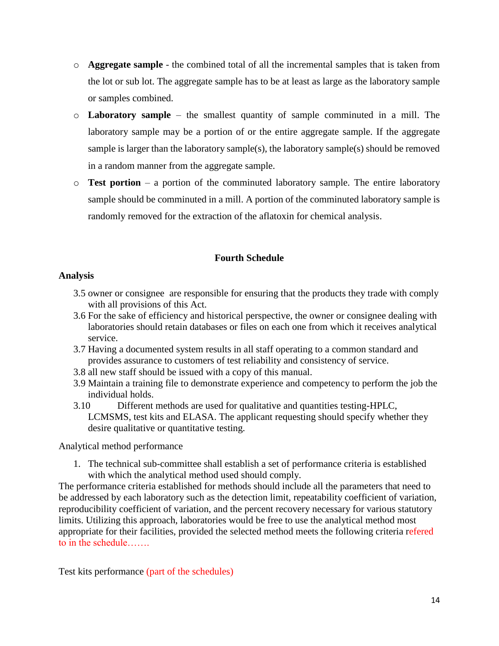- o **Aggregate sample** the combined total of all the incremental samples that is taken from the lot or sub lot. The aggregate sample has to be at least as large as the laboratory sample or samples combined.
- o **Laboratory sample** the smallest quantity of sample comminuted in a mill. The laboratory sample may be a portion of or the entire aggregate sample. If the aggregate sample is larger than the laboratory sample(s), the laboratory sample(s) should be removed in a random manner from the aggregate sample.
- o **Test portion** a portion of the comminuted laboratory sample. The entire laboratory sample should be comminuted in a mill. A portion of the comminuted laboratory sample is randomly removed for the extraction of the aflatoxin for chemical analysis.

# **Fourth Schedule**

## **Analysis**

- 3.5 owner or consignee are responsible for ensuring that the products they trade with comply with all provisions of this Act.
- 3.6 For the sake of efficiency and historical perspective, the owner or consignee dealing with laboratories should retain databases or files on each one from which it receives analytical service.
- 3.7 Having a documented system results in all staff operating to a common standard and provides assurance to customers of test reliability and consistency of service.
- 3.8 all new staff should be issued with a copy of this manual.
- 3.9 Maintain a training file to demonstrate experience and competency to perform the job the individual holds.
- 3.10 Different methods are used for qualitative and quantities testing-HPLC, LCMSMS, test kits and ELASA. The applicant requesting should specify whether they desire qualitative or quantitative testing.

Analytical method performance

1. The technical sub-committee shall establish a set of performance criteria is established with which the analytical method used should comply.

The performance criteria established for methods should include all the parameters that need to be addressed by each laboratory such as the detection limit, repeatability coefficient of variation, reproducibility coefficient of variation, and the percent recovery necessary for various statutory limits. Utilizing this approach, laboratories would be free to use the analytical method most appropriate for their facilities, provided the selected method meets the following criteria refered to in the schedule…….

Test kits performance (part of the schedules)